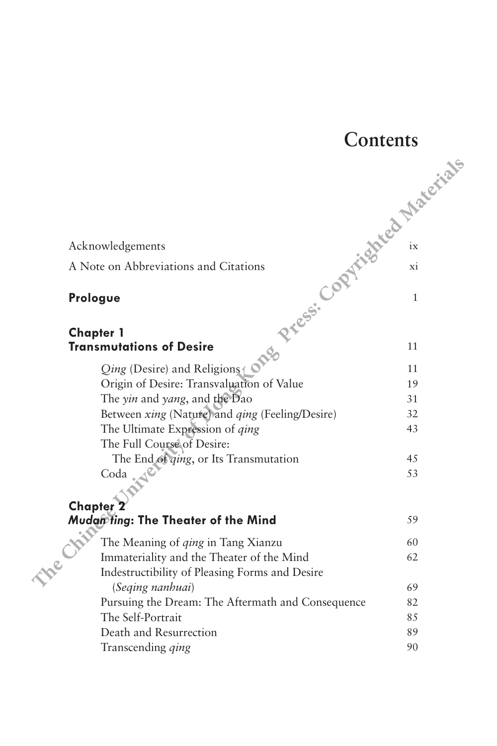## **Contents** Acknowledgements ix A Note on Abbreviations and Citations xi **Prologue** 1 **Chapter 1 Transmutations of Desire** 6. *Qing* (Desire) and Religions 1 Origin of Desire: Transvaluation of Value 19 The *yin* and *yang*, and the Dao 31 Between *xing* (Nature) and *qing* (Feeling/Desire) 32 The Ultimate Expression of *qing* 43 The Full Course of Desire: The End of *qing*, or Its Transmutation 45  $\text{Coda}$  53 **Chapter 2 Mudan Ting: The Theater of the Mind** 59 The Meaning of *qing* in Tang Xianzu 60 Immateriality and the Theater of the Mind 62 Indestructibility of Pleasing Forms and Desire (*Seqing nanhuai*) 69 Pursuing the Dream: The Aftermath and Consequence 82 The Self-Portrait 85 Death and Resurrection 89 Transcending *ging* 90 **The Chinese Expression of** *Pressing*<br> **Theoretical Chinese Constrainers**<br> **Therefore Pressure of American Chinese Copyrighted Constrainers**<br> **Chinese Copyrighted Constrainers**<br> **Copyrighted Constrainers**<br> **Cop**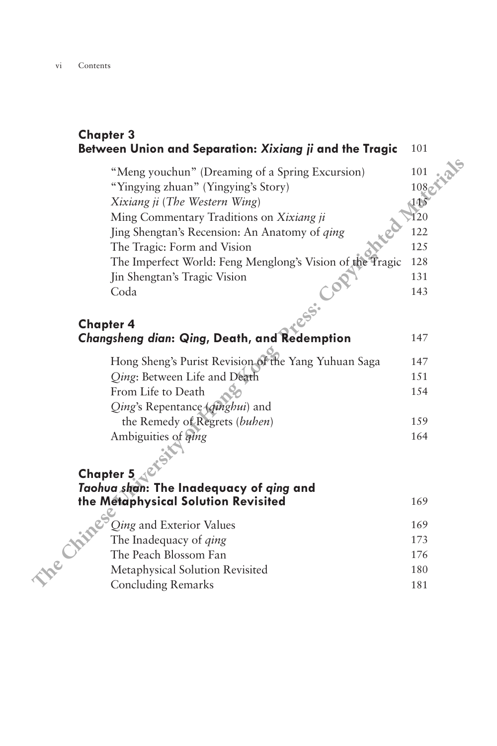## **Chapter 3 Between Union and Separation:** *Xixiang ji* **and the Tragic** 101

"Meng youchun" (Dreaming of a Spring Excursion) 101 "Yingying zhuan" (Yingying's Story) 108<br>Xixiang ji (The Western Wing) 115 *Xixiang ji (The Western Wing)* Ming Commentary Traditions on *Xixiang ji* 120 Jing Shengtan's Recension: An Anatomy of *qing* 122 The Tragic: Form and Vision 125 The Imperfect World: Feng Menglong's Vision of the Tragic 128 **Jin Shengtan's Tragic Vision** 131 Coda 143 **Chinese 3**<br> **here Union and Separation:** *Xixiang ii* and the Tragic 101<br>
"Mingying zhuan" (Dreaming of a Spring Excursion)<br>
"hingying zhuan" (Tingying's Story)<br> *Ming* Commentary Traditions on *Xixiang ii*<br>
Jing She

## **Chapter 4** *Changsheng dian***:** *Qing***, Death, and Redemption** 147

| Hong Sheng's Purist Revision of the Yang Yuhuan Saga | 147  |
|------------------------------------------------------|------|
| Qing: Between Life and Death                         | 151  |
| From Life to Death                                   | 1.54 |
| Qing's Repentance (qinghui) and                      |      |
| the Remedy of Regrets (buhen)                        | 159  |
| Ambiguities of <i>qing</i>                           | 164  |
|                                                      |      |

## **Chapter 5**

| Taohua shan: The Inadequacy of ging and<br>the Metaphysical Solution Revisited | 169   |
|--------------------------------------------------------------------------------|-------|
| $^{\circ}$ <i>Qing</i> and Exterior Values                                     | 169   |
| The Inadequacy of <i>ging</i>                                                  | 173   |
| The Peach Blossom Fan                                                          | 176   |
| Metaphysical Solution Revisited                                                | 180   |
| Concluding Remarks                                                             | 1 Q 1 |

*Qing* and Exterior Values 169 The Inadequacy of *ging* 173 The Peach Blossom Fan 176 Metaphysical Solution Revisited 180 Concluding Remarks 181